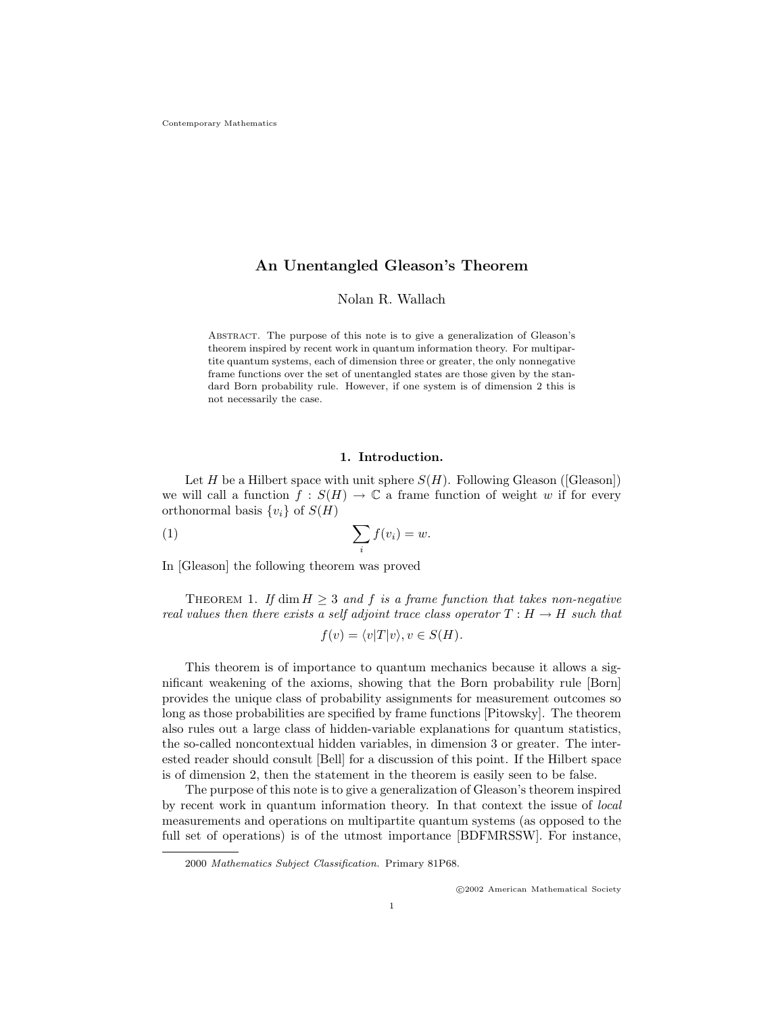## An Unentangled Gleason's Theorem

Nolan R. Wallach

Abstract. The purpose of this note is to give a generalization of Gleason's theorem inspired by recent work in quantum information theory. For multipartite quantum systems, each of dimension three or greater, the only nonnegative frame functions over the set of unentangled states are those given by the standard Born probability rule. However, if one system is of dimension 2 this is not necessarily the case.

### 1. Introduction.

Let H be a Hilbert space with unit sphere  $S(H)$ . Following Gleason ([Gleason]) we will call a function  $f : S(H) \to \mathbb{C}$  a frame function of weight w if for every orthonormal basis  $\{v_i\}$  of  $S(H)$ 

$$
(1) \qquad \qquad \sum_{i} f(v_i) = w.
$$

In [Gleason] the following theorem was proved

THEOREM 1. If dim  $H \geq 3$  and f is a frame function that takes non-negative real values then there exists a self adjoint trace class operator  $T : H \to H$  such that

$$
f(v) = \langle v|T|v\rangle, v \in S(H).
$$

This theorem is of importance to quantum mechanics because it allows a significant weakening of the axioms, showing that the Born probability rule [Born] provides the unique class of probability assignments for measurement outcomes so long as those probabilities are specified by frame functions [Pitowsky]. The theorem also rules out a large class of hidden-variable explanations for quantum statistics, the so-called noncontextual hidden variables, in dimension 3 or greater. The interested reader should consult [Bell] for a discussion of this point. If the Hilbert space is of dimension 2, then the statement in the theorem is easily seen to be false.

The purpose of this note is to give a generalization of Gleason's theorem inspired by recent work in quantum information theory. In that context the issue of local measurements and operations on multipartite quantum systems (as opposed to the full set of operations) is of the utmost importance [BDFMRSSW]. For instance,

c 2002 American Mathematical Society

<sup>2000</sup> Mathematics Subject Classification. Primary 81P68.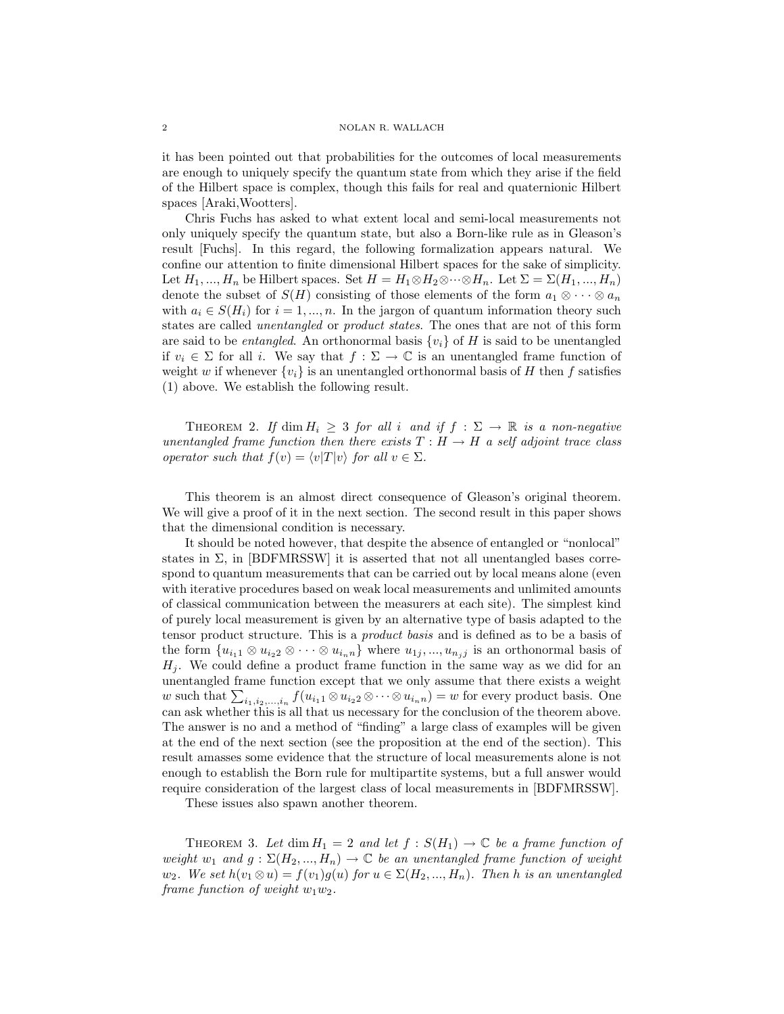it has been pointed out that probabilities for the outcomes of local measurements are enough to uniquely specify the quantum state from which they arise if the field of the Hilbert space is complex, though this fails for real and quaternionic Hilbert spaces [Araki,Wootters].

Chris Fuchs has asked to what extent local and semi-local measurements not only uniquely specify the quantum state, but also a Born-like rule as in Gleason's result [Fuchs]. In this regard, the following formalization appears natural. We confine our attention to finite dimensional Hilbert spaces for the sake of simplicity. Let  $H_1, ..., H_n$  be Hilbert spaces. Set  $H = H_1 \otimes H_2 \otimes \cdots \otimes H_n$ . Let  $\Sigma = \Sigma(H_1, ..., H_n)$ denote the subset of  $S(H)$  consisting of those elements of the form  $a_1 \otimes \cdots \otimes a_n$ with  $a_i \in S(H_i)$  for  $i = 1, ..., n$ . In the jargon of quantum information theory such states are called unentangled or product states. The ones that are not of this form are said to be *entangled*. An orthonormal basis  $\{v_i\}$  of H is said to be unentangled if  $v_i \in \Sigma$  for all i. We say that  $f : \Sigma \to \mathbb{C}$  is an unentangled frame function of weight w if whenever  $\{v_i\}$  is an unentangled orthonormal basis of H then f satisfies (1) above. We establish the following result.

THEOREM 2. If  $\dim H_i \geq 3$  for all i and if  $f : \Sigma \to \mathbb{R}$  is a non-negative unentangled frame function then there exists  $T : H \to H$  a self adjoint trace class operator such that  $f(v) = \langle v|T|v \rangle$  for all  $v \in \Sigma$ .

This theorem is an almost direct consequence of Gleason's original theorem. We will give a proof of it in the next section. The second result in this paper shows that the dimensional condition is necessary.

It should be noted however, that despite the absence of entangled or "nonlocal" states in  $\Sigma$ , in [BDFMRSSW] it is asserted that not all unentangled bases correspond to quantum measurements that can be carried out by local means alone (even with iterative procedures based on weak local measurements and unlimited amounts of classical communication between the measurers at each site). The simplest kind of purely local measurement is given by an alternative type of basis adapted to the tensor product structure. This is a product basis and is defined as to be a basis of the form  $\{u_{i1} \otimes u_{i2} \otimes \cdots \otimes u_{i_n} \}$  where  $u_{1j},...,u_{n_j}$  is an orthonormal basis of  $H_i$ . We could define a product frame function in the same way as we did for an unentangled frame function except that we only assume that there exists a weight w such that  $\sum_{i_1,i_2,...,i_n} f(u_{i_11} \otimes u_{i_22} \otimes \cdots \otimes u_{i_nn}) = w$  for every product basis. One can ask whether this is all that us necessary for the conclusion of the theorem above. The answer is no and a method of "finding" a large class of examples will be given at the end of the next section (see the proposition at the end of the section). This result amasses some evidence that the structure of local measurements alone is not enough to establish the Born rule for multipartite systems, but a full answer would require consideration of the largest class of local measurements in [BDFMRSSW].

These issues also spawn another theorem.

THEOREM 3. Let dim  $H_1 = 2$  and let  $f : S(H_1) \to \mathbb{C}$  be a frame function of weight  $w_1$  and  $g: \Sigma(H_2, ..., H_n) \to \mathbb{C}$  be an unentangled frame function of weight  $w_2$ . We set  $h(v_1 \otimes u) = f(v_1)g(u)$  for  $u \in \Sigma(H_2, ..., H_n)$ . Then h is an unentangled frame function of weight  $w_1w_2$ .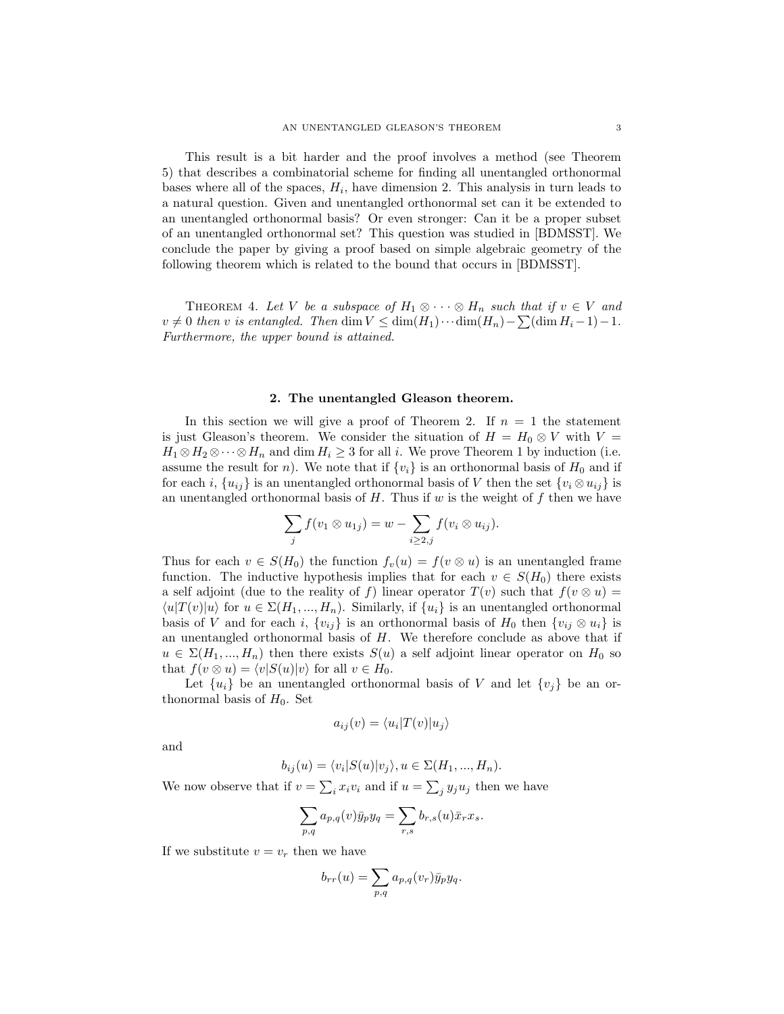This result is a bit harder and the proof involves a method (see Theorem 5) that describes a combinatorial scheme for finding all unentangled orthonormal bases where all of the spaces,  $H_i$ , have dimension 2. This analysis in turn leads to a natural question. Given and unentangled orthonormal set can it be extended to an unentangled orthonormal basis? Or even stronger: Can it be a proper subset of an unentangled orthonormal set? This question was studied in [BDMSST]. We conclude the paper by giving a proof based on simple algebraic geometry of the following theorem which is related to the bound that occurs in [BDMSST].

THEOREM 4. Let V be a subspace of  $H_1 \otimes \cdots \otimes H_n$  such that if  $v \in V$  and  $v \neq 0$  then v is entangled. Then dim  $V \leq \dim(H_1)\cdots \dim(H_n) - \sum (\dim H_i - 1) - 1$ . Furthermore, the upper bound is attained.

#### 2. The unentangled Gleason theorem.

In this section we will give a proof of Theorem 2. If  $n = 1$  the statement is just Gleason's theorem. We consider the situation of  $H = H_0 \otimes V$  with  $V =$  $H_1 \otimes H_2 \otimes \cdots \otimes H_n$  and dim  $H_i \geq 3$  for all i. We prove Theorem 1 by induction (i.e. assume the result for n). We note that if  $\{v_i\}$  is an orthonormal basis of  $H_0$  and if for each i,  $\{u_{ij}\}\$ is an unentangled orthonormal basis of V then the set  $\{v_i\otimes u_{ij}\}\$ is an unentangled orthonormal basis of  $H$ . Thus if  $w$  is the weight of  $f$  then we have

$$
\sum_j f(v_1 \otimes u_{1j}) = w - \sum_{i \geq 2,j} f(v_i \otimes u_{ij}).
$$

Thus for each  $v \in S(H_0)$  the function  $f_v(u) = f(v \otimes u)$  is an unentangled frame function. The inductive hypothesis implies that for each  $v \in S(H_0)$  there exists a self adjoint (due to the reality of f) linear operator  $T(v)$  such that  $f(v \otimes u) =$  $\langle u|T(v)|u\rangle$  for  $u \in \Sigma(H_1, ..., H_n)$ . Similarly, if  $\{u_i\}$  is an unentangled orthonormal basis of V and for each i,  $\{v_{ij}\}\$ is an orthonormal basis of  $H_0$  then  $\{v_{ij}\otimes u_i\}$  is an unentangled orthonormal basis of  $H$ . We therefore conclude as above that if  $u \in \Sigma(H_1, ..., H_n)$  then there exists  $S(u)$  a self adjoint linear operator on  $H_0$  so that  $f(v \otimes u) = \langle v|S(u)|v\rangle$  for all  $v \in H_0$ .

Let  $\{u_i\}$  be an unentangled orthonormal basis of V and let  $\{v_j\}$  be an orthonormal basis of  $H_0$ . Set

$$
a_{ij}(v) = \langle u_i | T(v) | u_j \rangle
$$

and

$$
b_{ij}(u) = \langle v_i | S(u) | v_j \rangle, u \in \Sigma(H_1, ..., H_n).
$$

We now observe that if  $v = \sum_i x_i v_i$  and if  $u = \sum_j y_j u_j$  then we have

$$
\sum_{p,q} a_{p,q}(v) \bar{y}_p y_q = \sum_{r,s} b_{r,s}(u) \bar{x}_r x_s.
$$

If we substitute  $v = v_r$  then we have

$$
b_{rr}(u) = \sum_{p,q} a_{p,q}(v_r) \bar{y}_p y_q.
$$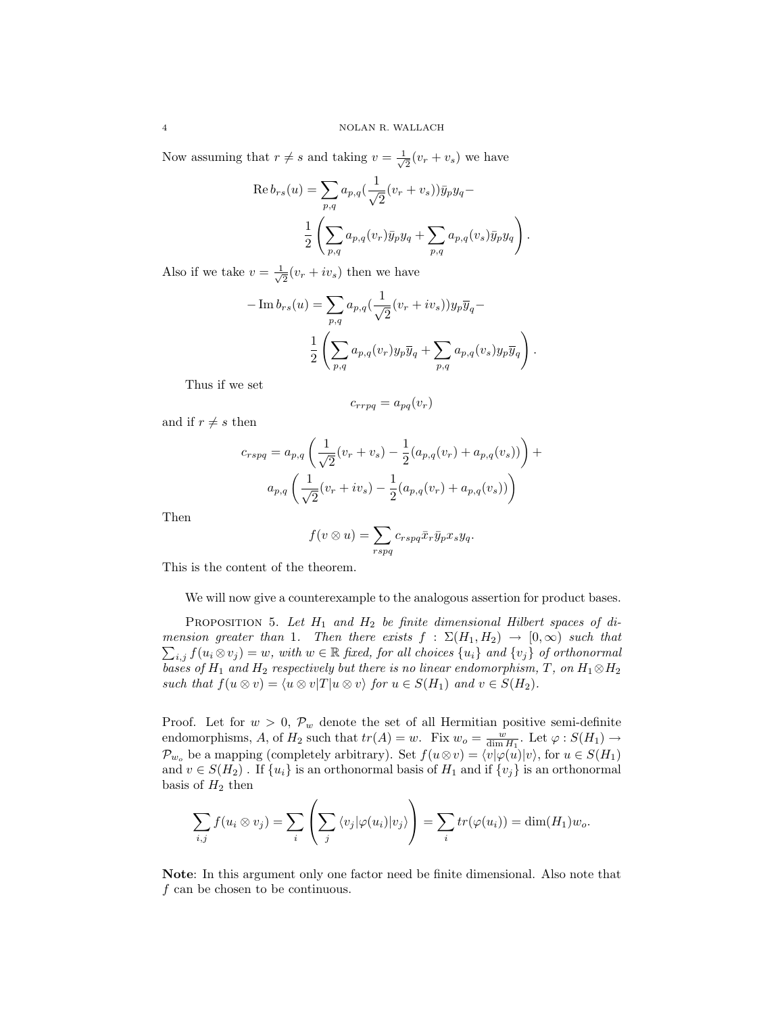Now assuming that  $r \neq s$  and taking  $v = \frac{1}{\sqrt{2}}$  $\frac{1}{2}(v_r + v_s)$  we have

Re 
$$
b_{rs}(u)
$$
 =  $\sum_{p,q} a_{p,q} \left(\frac{1}{\sqrt{2}}(v_r + v_s)\right) \bar{y}_p y_q$  -  
\n
$$
\frac{1}{2} \left( \sum_{p,q} a_{p,q}(v_r) \bar{y}_p y_q + \sum_{p,q} a_{p,q}(v_s) \bar{y}_p y_q \right).
$$

Also if we take  $v = \frac{1}{\sqrt{2}}$  $\frac{1}{2}(v_r + iv_s)$  then we have

$$
-\operatorname{Im} b_{rs}(u) = \sum_{p,q} a_{p,q} \left(\frac{1}{\sqrt{2}}(v_r + iv_s)\right) y_p \overline{y}_q -
$$

$$
\frac{1}{2} \left( \sum_{p,q} a_{p,q}(v_r) y_p \overline{y}_q + \sum_{p,q} a_{p,q}(v_s) y_p \overline{y}_q \right).
$$

Thus if we set

$$
c_{rrpq} = a_{pq}(v_r)
$$

and if  $r \neq s$  then

$$
c_{rspq} = a_{p,q} \left( \frac{1}{\sqrt{2}} (v_r + v_s) - \frac{1}{2} (a_{p,q}(v_r) + a_{p,q}(v_s)) \right) +
$$

$$
a_{p,q} \left( \frac{1}{\sqrt{2}} (v_r + iv_s) - \frac{1}{2} (a_{p,q}(v_r) + a_{p,q}(v_s)) \right)
$$

Then

$$
f(v \otimes u) = \sum_{rspq} c_{rspq} \bar{x}_r \bar{y}_p x_s y_q.
$$

This is the content of the theorem.

We will now give a counterexample to the analogous assertion for product bases.

PROPOSITION 5. Let  $H_1$  and  $H_2$  be finite dimensional Hilbert spaces of di- $\sum_{i,j} f(u_i \otimes v_j) = w$ , with  $w \in \mathbb{R}$  fixed, for all choices  $\{u_i\}$  and  $\{v_j\}$  of orthonormal mension greater than 1. Then there exists  $f : \Sigma(H_1, H_2) \to [0, \infty)$  such that bases of  $H_1$  and  $H_2$  respectively but there is no linear endomorphism, T, on  $H_1 \otimes H_2$ such that  $f(u \otimes v) = \langle u \otimes v | T | u \otimes v \rangle$  for  $u \in S(H_1)$  and  $v \in S(H_2)$ .

Proof. Let for  $w > 0$ ,  $\mathcal{P}_w$  denote the set of all Hermitian positive semi-definite endomorphisms, A, of  $H_2$  such that  $tr(A) = w$ . Fix  $w_o = \frac{w}{\dim H_1}$ . Let  $\varphi : S(H_1) \to$  $\mathcal{P}_{w_o}$  be a mapping (completely arbitrary). Set  $f(u\otimes v) = \langle v|\varphi(u)|v\rangle$ , for  $u \in S(H_1)$ and  $v \in S(H_2)$ . If  $\{u_i\}$  is an orthonormal basis of  $H_1$  and if  $\{v_j\}$  is an orthonormal basis of  $H_2$  then

$$
\sum_{i,j} f(u_i \otimes v_j) = \sum_i \left( \sum_j \langle v_j | \varphi(u_i) | v_j \rangle \right) = \sum_i tr(\varphi(u_i)) = \dim(H_1) w_o.
$$

Note: In this argument only one factor need be finite dimensional. Also note that f can be chosen to be continuous.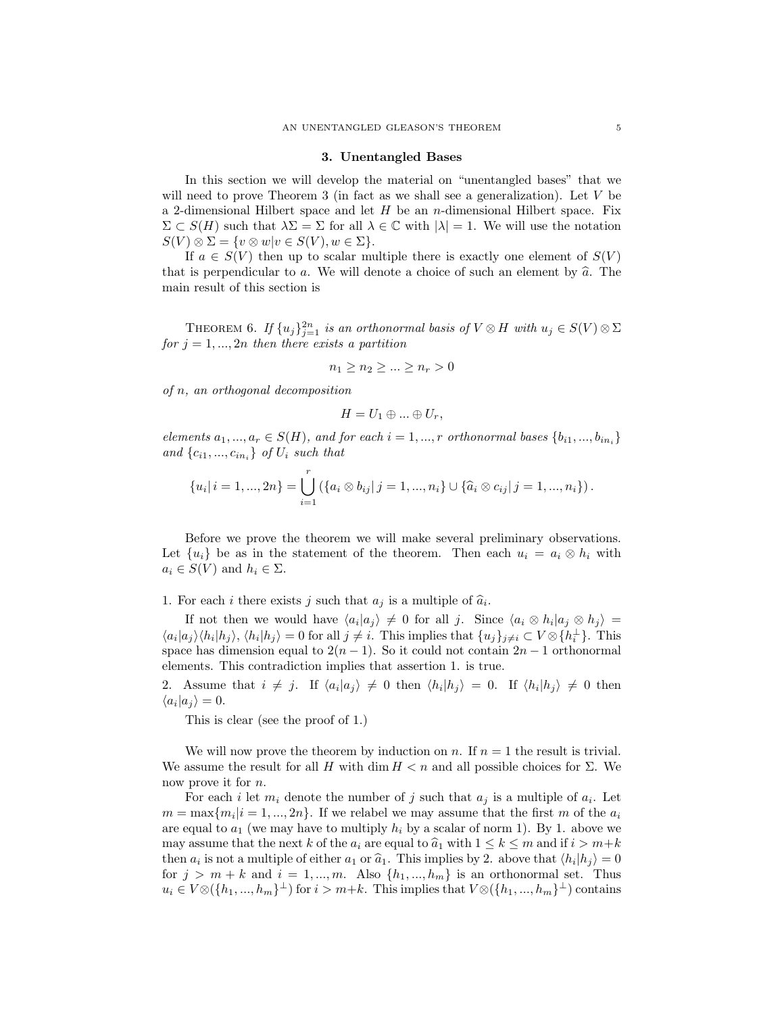#### 3. Unentangled Bases

In this section we will develop the material on "unentangled bases" that we will need to prove Theorem 3 (in fact as we shall see a generalization). Let V be a 2-dimensional Hilbert space and let  $H$  be an n-dimensional Hilbert space. Fix  $\Sigma \subset S(H)$  such that  $\lambda \Sigma = \Sigma$  for all  $\lambda \in \mathbb{C}$  with  $|\lambda| = 1$ . We will use the notation  $S(V) \otimes \Sigma = \{v \otimes w | v \in S(V), w \in \Sigma\}.$ 

If  $a \in S(V)$  then up to scalar multiple there is exactly one element of  $S(V)$ that is perpendicular to a. We will denote a choice of such an element by  $\hat{a}$ . The main result of this section is

THEOREM 6. If  $\{u_j\}_{j=1}^{2n}$  is an orthonormal basis of  $V \otimes H$  with  $u_j \in S(V) \otimes \Sigma$ for  $j = 1, ..., 2n$  then there exists a partition

$$
n_1 \ge n_2 \ge \dots \ge n_r > 0
$$

of n, an orthogonal decomposition

$$
H=U_1\oplus\ldots\oplus U_r,
$$

elements  $a_1, ..., a_r \in S(H)$ , and for each  $i = 1, ..., r$  orthonormal bases  $\{b_{i1}, ..., b_{in_i}\}$ and  $\{c_{i1},...,c_{in_i}\}\$  of  $U_i$  such that

$$
\{u_i | i = 1, ..., 2n\} = \bigcup_{i=1}^r \left( \{a_i \otimes b_{ij} | j = 1, ..., n_i\} \cup \{\hat{a}_i \otimes c_{ij} | j = 1, ..., n_i\} \right).
$$

Before we prove the theorem we will make several preliminary observations. Let  ${u_i}$  be as in the statement of the theorem. Then each  $u_i = a_i \otimes h_i$  with  $a_i \in S(V)$  and  $h_i \in \Sigma$ .

1. For each i there exists j such that  $a_j$  is a multiple of  $\hat{a}_i$ .

If not then we would have  $\langle a_i | a_j \rangle \neq 0$  for all j. Since  $\langle a_i \otimes h_i | a_j \otimes h_j \rangle =$  $\langle a_i | a_j \rangle \langle h_i | h_j \rangle$ ,  $\langle h_i | h_j \rangle = 0$  for all  $j \neq i$ . This implies that  $\{u_j\}_{j \neq i} \subset V \otimes \{h_i^{\perp}\}\.$  This space has dimension equal to  $2(n-1)$ . So it could not contain  $2n-1$  orthonormal elements. This contradiction implies that assertion 1. is true.

2. Assume that  $i \neq j$ . If  $\langle a_i | a_j \rangle \neq 0$  then  $\langle h_i | h_j \rangle = 0$ . If  $\langle h_i | h_j \rangle \neq 0$  then  $\langle a_i | a_j \rangle = 0.$ 

This is clear (see the proof of 1.)

We will now prove the theorem by induction on n. If  $n = 1$  the result is trivial. We assume the result for all H with dim  $H < n$  and all possible choices for  $\Sigma$ . We now prove it for n.

For each i let  $m_i$  denote the number of j such that  $a_j$  is a multiple of  $a_i$ . Let  $m = \max\{m_i | i = 1, ..., 2n\}$ . If we relabel we may assume that the first m of the  $a_i$ are equal to  $a_1$  (we may have to multiply  $h_i$  by a scalar of norm 1). By 1. above we may assume that the next k of the  $a_i$  are equal to  $\hat{a}_1$  with  $1 \leq k \leq m$  and if  $i > m+k$ then  $a_i$  is not a multiple of either  $a_1$  or  $\hat{a}_1$ . This implies by 2. above that  $\langle h_i | h_j \rangle = 0$ <br>for  $i > m + k$  and  $i = 1 - m$ . Also  $\{h_i, h_j\}$  is an orthonormal set. Thus for  $j > m + k$  and  $i = 1, ..., m$ . Also  $\{h_1, ..., h_m\}$  is an orthonormal set. Thus  $u_i \in V \otimes (\lbrace h_1, ..., h_m \rbrace^{\perp})$  for  $i > m+k$ . This implies that  $V \otimes (\lbrace h_1, ..., h_m \rbrace^{\perp})$  contains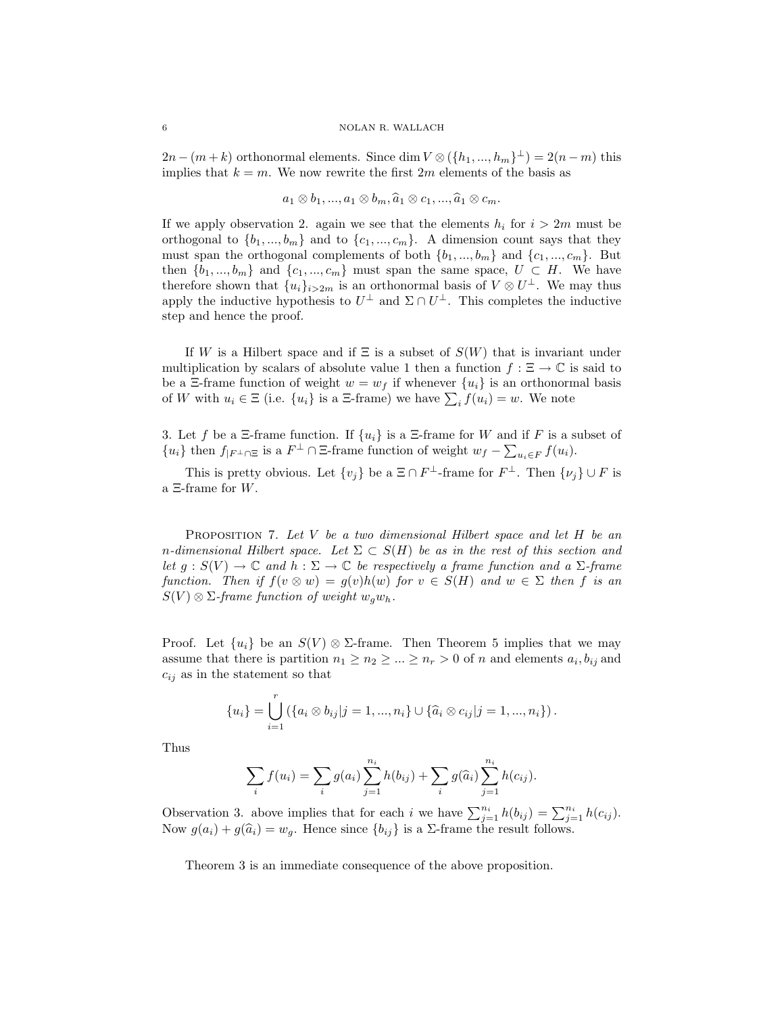$2n - (m + k)$  orthonormal elements. Since  $\dim V \otimes (\lbrace h_1, ..., h_m \rbrace^{\perp}) = 2(n - m)$  this implies that  $k = m$ . We now rewrite the first 2m elements of the basis as

$$
a_1 \otimes b_1, ..., a_1 \otimes b_m, \hat{a}_1 \otimes c_1, ..., \hat{a}_1 \otimes c_m.
$$

If we apply observation 2. again we see that the elements  $h_i$  for  $i > 2m$  must be orthogonal to  $\{b_1, ..., b_m\}$  and to  $\{c_1, ..., c_m\}$ . A dimension count says that they must span the orthogonal complements of both  $\{b_1, ..., b_m\}$  and  $\{c_1, ..., c_m\}$ . But then  $\{b_1, ..., b_m\}$  and  $\{c_1, ..., c_m\}$  must span the same space,  $U \subset H$ . We have therefore shown that  $\{u_i\}_{i>2m}$  is an orthonormal basis of  $V \otimes U^{\perp}$ . We may thus apply the inductive hypothesis to  $U^{\perp}$  and  $\Sigma \cap U^{\perp}$ . This completes the inductive step and hence the proof.

If W is a Hilbert space and if  $\Xi$  is a subset of  $S(W)$  that is invariant under multiplication by scalars of absolute value 1 then a function  $f : \Xi \to \mathbb{C}$  is said to be a  $\Xi$ -frame function of weight  $w = w_f$  if whenever  $\{u_i\}$  is an orthonormal basis of W with  $u_i \in \Xi$  (i.e.  $\{u_i\}$  is a  $\Xi$ -frame) we have  $\sum_i f(u_i) = w$ . We note

3. Let f be a  $\Xi$ -frame function. If  $\{u_i\}$  is a  $\Xi$ -frame for W and if F is a subset of  ${u_i}$  then  $f_{|F^{\perp} \cap \Xi}$  is a  $F^{\perp} \cap \Xi$ -frame function of weight  $w_f - \sum_{u_i \in F} f(u_i)$ .

This is pretty obvious. Let  $\{v_j\}$  be a  $\Xi \cap F^{\perp}$ -frame for  $F^{\perp}$ . Then  $\{\nu_j\} \cup F$  is a Ξ-frame for W.

PROPOSITION 7. Let  $V$  be a two dimensional Hilbert space and let  $H$  be an n-dimensional Hilbert space. Let  $\Sigma \subset S(H)$  be as in the rest of this section and let  $g : S(V) \to \mathbb{C}$  and  $h : \Sigma \to \mathbb{C}$  be respectively a frame function and a  $\Sigma$ -frame function. Then if  $f(v \otimes w) = g(v)h(w)$  for  $v \in S(H)$  and  $w \in \Sigma$  then f is an  $S(V) \otimes \Sigma$ -frame function of weight  $w_q w_h$ .

Proof. Let  $\{u_i\}$  be an  $S(V) \otimes \Sigma$ -frame. Then Theorem 5 implies that we may assume that there is partition  $n_1 \geq n_2 \geq \ldots \geq n_r > 0$  of n and elements  $a_i, b_{ij}$  and  $c_{ij}$  as in the statement so that

$$
\{u_i\} = \bigcup_{i=1}^r (\{a_i \otimes b_{ij}|j=1,...,n_i\} \cup \{\widehat{a}_i \otimes c_{ij}|j=1,...,n_i\}).
$$

Thus

$$
\sum_{i} f(u_i) = \sum_{i} g(a_i) \sum_{j=1}^{n_i} h(b_{ij}) + \sum_{i} g(\widehat{a}_i) \sum_{j=1}^{n_i} h(c_{ij}).
$$

Observation 3. above implies that for each i we have  $\sum_{j=1}^{n_i} h(b_{ij}) = \sum_{j=1}^{n_i} h(c_{ij}).$ Now  $g(a_i) + g(\hat{a}_i) = w_g$ . Hence since  $\{b_{ij}\}\$ is a  $\Sigma$ -frame the result follows.

Theorem 3 is an immediate consequence of the above proposition.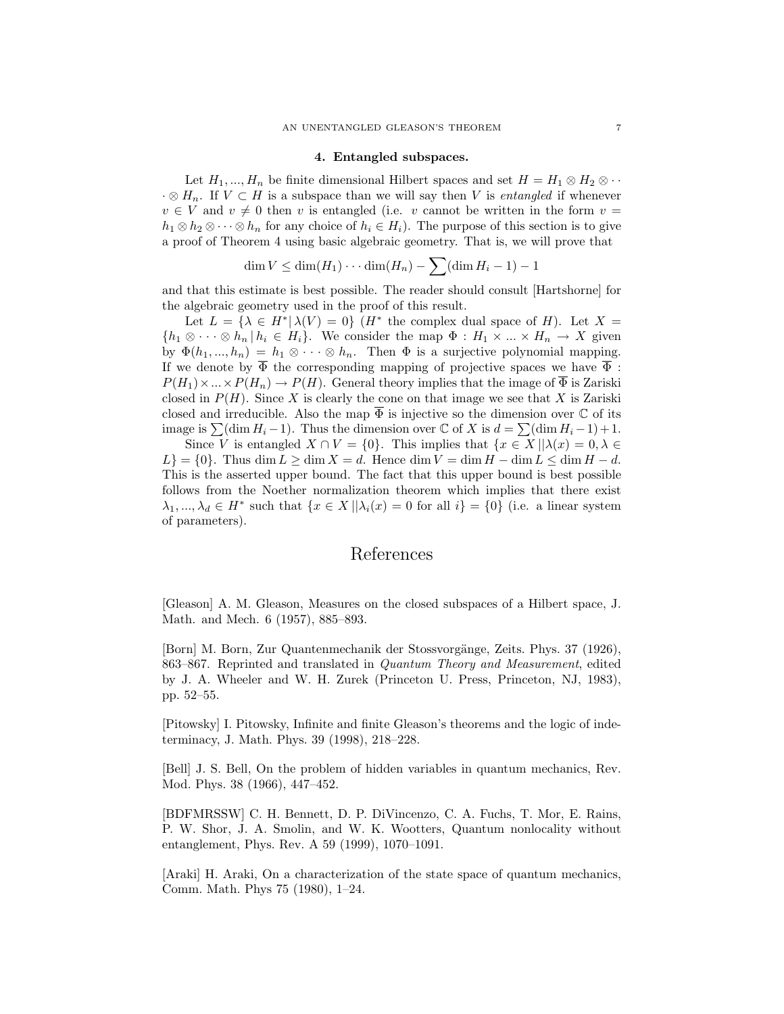#### 4. Entangled subspaces.

Let  $H_1, ..., H_n$  be finite dimensional Hilbert spaces and set  $H = H_1 \otimes H_2 \otimes \cdots$  $\cdot \otimes H_n$ . If  $V \subset H$  is a subspace than we will say then V is *entangled* if whenever  $v \in V$  and  $v \neq 0$  then v is entangled (i.e. v cannot be written in the form  $v =$  $h_1 \otimes h_2 \otimes \cdots \otimes h_n$  for any choice of  $h_i \in H_i$ ). The purpose of this section is to give a proof of Theorem 4 using basic algebraic geometry. That is, we will prove that

$$
\dim V \le \dim(H_1)\cdots \dim(H_n) - \sum (\dim H_i - 1) - 1
$$

and that this estimate is best possible. The reader should consult [Hartshorne] for the algebraic geometry used in the proof of this result.

Let  $L = \{ \lambda \in H^* | \lambda(V) = 0 \}$  ( $H^*$  the complex dual space of H). Let  $X =$  $\{h_1 \otimes \cdots \otimes h_n | h_i \in H_i\}.$  We consider the map  $\Phi : H_1 \times \ldots \times H_n \to X$  given by  $\Phi(h_1, ..., h_n) = h_1 \otimes \cdots \otimes h_n$ . Then  $\Phi$  is a surjective polynomial mapping. If we denote by  $\overline{\Phi}$  the corresponding mapping of projective spaces we have  $\overline{\Phi}$ :  $P(H_1) \times ... \times P(H_n) \to P(H)$ . General theory implies that the image of  $\overline{\Phi}$  is Zariski closed in  $P(H)$ . Since X is clearly the cone on that image we see that X is Zariski closed and irreducible. Also the map  $\overline{\Phi}$  is injective so the dimension over  $\mathbb C$  of its image is  $\sum(\dim H_i - 1)$ . Thus the dimension over  $\mathbb C$  of X is  $d = \sum(\dim H_i - 1) + 1$ .

Since V is entangled  $X \cap V = \{0\}$ . This implies that  $\{x \in X \mid |\lambda(x) = 0, \lambda \in$  $L$ } = {0}. Thus dim  $L \ge \dim X = d$ . Hence dim  $V = \dim H - \dim L \le \dim H - d$ . This is the asserted upper bound. The fact that this upper bound is best possible follows from the Noether normalization theorem which implies that there exist  $\lambda_1, ..., \lambda_d \in H^*$  such that  $\{x \in X \mid \lambda_i(x) = 0 \text{ for all } i\} = \{0\}$  (i.e. a linear system of parameters).

# References

[Gleason] A. M. Gleason, Measures on the closed subspaces of a Hilbert space, J. Math. and Mech. 6 (1957), 885–893.

[Born] M. Born, Zur Quantenmechanik der Stossvorgänge, Zeits. Phys. 37 (1926), 863–867. Reprinted and translated in Quantum Theory and Measurement, edited by J. A. Wheeler and W. H. Zurek (Princeton U. Press, Princeton, NJ, 1983), pp. 52–55.

[Pitowsky] I. Pitowsky, Infinite and finite Gleason's theorems and the logic of indeterminacy, J. Math. Phys. 39 (1998), 218–228.

[Bell] J. S. Bell, On the problem of hidden variables in quantum mechanics, Rev. Mod. Phys. 38 (1966), 447–452.

[BDFMRSSW] C. H. Bennett, D. P. DiVincenzo, C. A. Fuchs, T. Mor, E. Rains, P. W. Shor, J. A. Smolin, and W. K. Wootters, Quantum nonlocality without entanglement, Phys. Rev. A 59 (1999), 1070–1091.

[Araki] H. Araki, On a characterization of the state space of quantum mechanics, Comm. Math. Phys 75 (1980), 1–24.